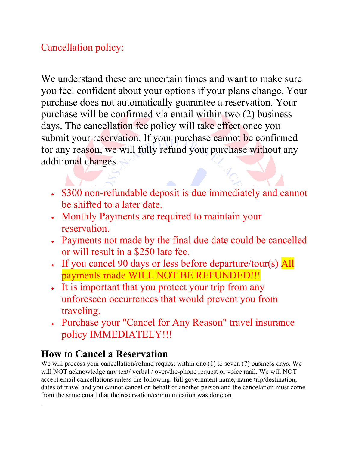## Cancellation policy:

We understand these are uncertain times and want to make sure you feel confident about your options if your plans change. Your purchase does not automatically guarantee a reservation. Your purchase will be confirmed via email within two (2) business days. The cancellation fee policy will take effect once you submit your reservation. If your purchase cannot be confirmed for any reason, we will fully refund your purchase without any additional charges.

- \$300 non-refundable deposit is due immediately and cannot be shifted to a later date.
- Monthly Payments are required to maintain your reservation.
- Payments not made by the final due date could be cancelled or will result in a \$250 late fee.
- If you cancel 90 days or less before departure/tour(s)  $\overline{All}$ payments made WILL NOT BE REFUNDED!!!
- It is important that you protect your trip from any unforeseen occurrences that would prevent you from traveling.
- Purchase your "Cancel for Any Reason" travel insurance policy IMMEDIATELY!!!

## **How to Cancel a Reservation**

.

We will process your cancellation/refund request within one (1) to seven (7) business days. We will NOT acknowledge any text/ verbal / over-the-phone request or voice mail. We will NOT accept email cancellations unless the following: full government name, name trip/destination, dates of travel and you cannot cancel on behalf of another person and the cancelation must come from the same email that the reservation/communication was done on.